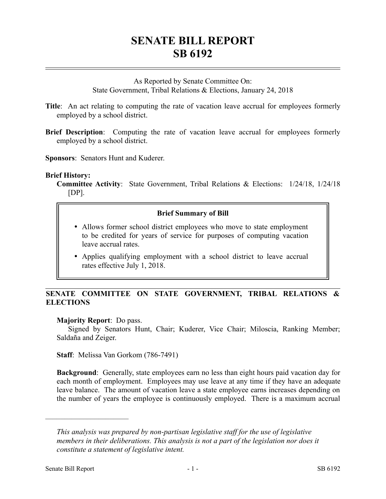# **SENATE BILL REPORT SB 6192**

As Reported by Senate Committee On: State Government, Tribal Relations & Elections, January 24, 2018

- **Title**: An act relating to computing the rate of vacation leave accrual for employees formerly employed by a school district.
- **Brief Description**: Computing the rate of vacation leave accrual for employees formerly employed by a school district.

**Sponsors**: Senators Hunt and Kuderer.

### **Brief History:**

**Committee Activity**: State Government, Tribal Relations & Elections: 1/24/18, 1/24/18 [DP].

### **Brief Summary of Bill**

- Allows former school district employees who move to state employment to be credited for years of service for purposes of computing vacation leave accrual rates.
- Applies qualifying employment with a school district to leave accrual rates effective July 1, 2018.

## **SENATE COMMITTEE ON STATE GOVERNMENT, TRIBAL RELATIONS & ELECTIONS**

#### **Majority Report**: Do pass.

Signed by Senators Hunt, Chair; Kuderer, Vice Chair; Miloscia, Ranking Member; Saldaña and Zeiger.

**Staff**: Melissa Van Gorkom (786-7491)

**Background**: Generally, state employees earn no less than eight hours paid vacation day for each month of employment. Employees may use leave at any time if they have an adequate leave balance. The amount of vacation leave a state employee earns increases depending on the number of years the employee is continuously employed. There is a maximum accrual

––––––––––––––––––––––

*This analysis was prepared by non-partisan legislative staff for the use of legislative members in their deliberations. This analysis is not a part of the legislation nor does it constitute a statement of legislative intent.*